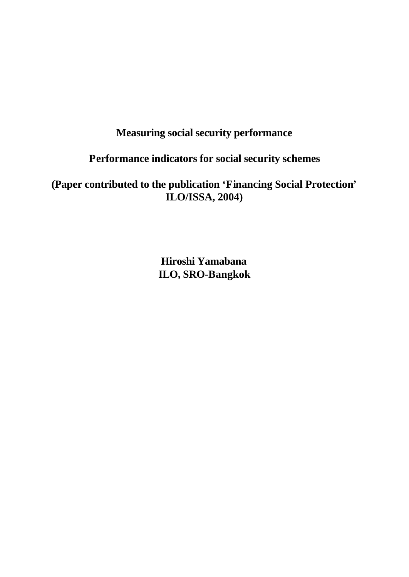# **Measuring social security performance**

# **Performance indicators for social security schemes**

**(Paper contributed to the publication 'Financing Social Protection' ILO/ISSA, 2004)**

> **Hiroshi Yamabana ILO, SRO-Bangkok**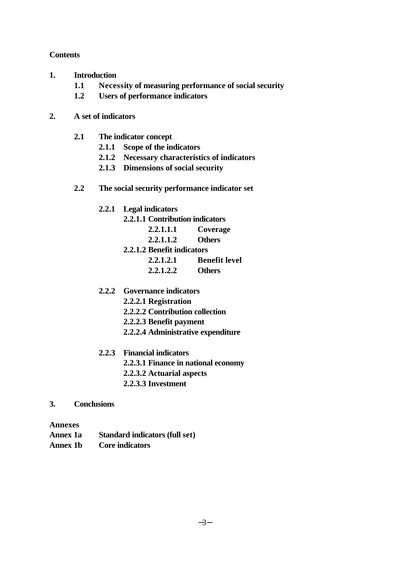# **Contents**

- **1. Introduction**
	- **1.1 Necessity of measuring performance of social security**
	- **1.2 Users of performance indicators**

# **2. A set of indicators**

- **2.1 The indicator concept**
	- **2.1.1 Scope of the indicators**
	- **2.1.2 Necessary characteristics of indicators**
	- **2.1.3 Dimensions of social security**
- **2.2 The social security performance indicator set**
	- **2.2.1 Legal indicators**
		- **2.2.1.1 Contribution indicators**
			- **2.2.1.1.1 Coverage**
			- **2.2.1.1.2 Others**
		- **2.2.1.2 Benefit indicators**
			- **2.2.1.2.1 Benefit level**
				- **2.2.1.2.2 Others**
	- **2.2.2 Governance indicators**
		- **2.2.2.1 Registration**
		- **2.2.2.2 Contribution collection**
		- **2.2.2.3 Benefit payment**
		- **2.2.2.4 Administrative expenditure**
	- **2.2.3 Financial indicators**
		- **2.2.3.1 Finance in national economy**
		- **2.2.3.2 Actuarial aspects**
		- **2.2.3.3 Investment**
- **3. Conclusions**

# **Annexes**

- **Annex 1a Standard indicators (full set)**
- **Annex 1b Core indicators**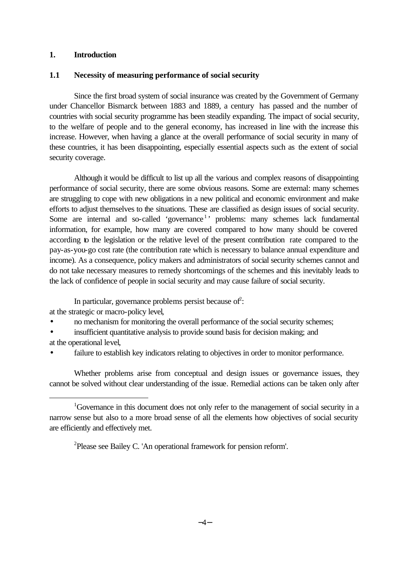# **1. Introduction**

### **1.1 Necessity of measuring performance of social security**

Since the first broad system of social insurance was created by the Government of Germany under Chancellor Bismarck between 1883 and 1889, a century has passed and the number of countries with social security programme has been steadily expanding. The impact of social security, to the welfare of people and to the general economy, has increased in line with the increase this increase. However, when having a glance at the overall performance of social security in many of these countries, it has been disappointing, especially essential aspects such as the extent of social security coverage.

Although it would be difficult to list up all the various and complex reasons of disappointing performance of social security, there are some obvious reasons. Some are external: many schemes are struggling to cope with new obligations in a new political and economic environment and make efforts to adjust themselves to the situations. These are classified as design issues of social security. Some are internal and so-called 'governance<sup>1</sup>' problems: many schemes lack fundamental information, for example, how many are covered compared to how many should be covered according to the legislation or the relative level of the present contribution rate compared to the pay-as-you-go cost rate (the contribution rate which is necessary to balance annual expenditure and income). As a consequence, policy makers and administrators of social security schemes cannot and do not take necessary measures to remedy shortcomings of the schemes and this inevitably leads to the lack of confidence of people in social security and may cause failure of social security.

In particular, governance problems persist because of  $\hat{c}$ :

at the strategic or macro-policy level,

- no mechanism for monitoring the overall performance of the social security schemes;
- insufficient quantitative analysis to provide sound basis for decision making; and
- at the operational level,

l

failure to establish key indicators relating to objectives in order to monitor performance.

Whether problems arise from conceptual and design issues or governance issues, they cannot be solved without clear understanding of the issue. Remedial actions can be taken only after

<sup>2</sup>Please see Bailey C. 'An operational framework for pension reform'.

<sup>&</sup>lt;sup>1</sup>Governance in this document does not only refer to the management of social security in a narrow sense but also to a more broad sense of all the elements how objectives of social security are efficiently and effectively met.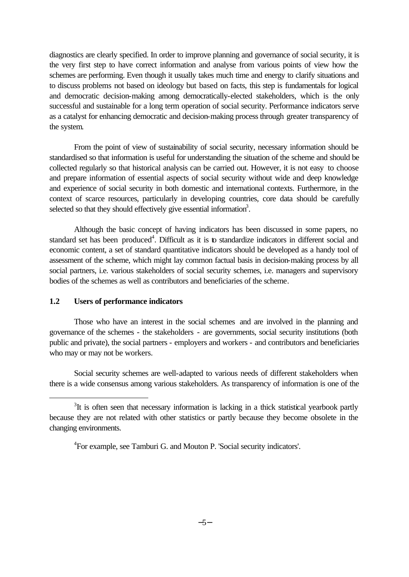diagnostics are clearly specified. In order to improve planning and governance of social security, it is the very first step to have correct information and analyse from various points of view how the schemes are performing. Even though it usually takes much time and energy to clarify situations and to discuss problems not based on ideology but based on facts, this step is fundamentals for logical and democratic decision-making among democratically-elected stakeholders, which is the only successful and sustainable for a long term operation of social security. Performance indicators serve as a catalyst for enhancing democratic and decision-making process through greater transparency of the system.

From the point of view of sustainability of social security, necessary information should be standardised so that information is useful for understanding the situation of the scheme and should be collected regularly so that historical analysis can be carried out. However, it is not easy to choose and prepare information of essential aspects of social security without wide and deep knowledge and experience of social security in both domestic and international contexts. Furthermore, in the context of scarce resources, particularly in developing countries, core data should be carefully selected so that they should effectively give essential information<sup>3</sup>.

Although the basic concept of having indicators has been discussed in some papers, no standard set has been produced<sup>4</sup>. Difficult as it is to standardize indicators in different social and economic content, a set of standard quantitative indicators should be developed as a handy tool of assessment of the scheme, which might lay common factual basis in decision-making process by all social partners, i.e. various stakeholders of social security schemes, i.e. managers and supervisory bodies of the schemes as well as contributors and beneficiaries of the scheme.

### **1.2 Users of performance indicators**

l

Those who have an interest in the social schemes and are involved in the planning and governance of the schemes - the stakeholders - are governments, social security institutions (both public and private), the social partners - employers and workers - and contributors and beneficiaries who may or may not be workers.

Social security schemes are well-adapted to various needs of different stakeholders when there is a wide consensus among various stakeholders. As transparency of information is one of the

 $3$ It is often seen that necessary information is lacking in a thick statistical yearbook partly because they are not related with other statistics or partly because they become obsolete in the changing environments.

<sup>&</sup>lt;sup>4</sup> For example, see Tamburi G. and Mouton P. 'Social security indicators'.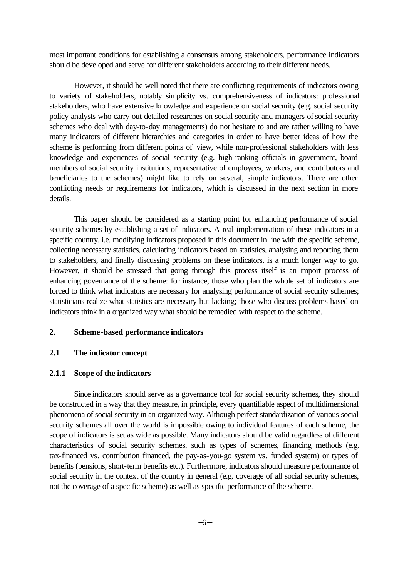most important conditions for establishing a consensus among stakeholders, performance indicators should be developed and serve for different stakeholders according to their different needs.

However, it should be well noted that there are conflicting requirements of indicators owing to variety of stakeholders, notably simplicity vs. comprehensiveness of indicators: professional stakeholders, who have extensive knowledge and experience on social security (e.g. social security policy analysts who carry out detailed researches on social security and managers of social security schemes who deal with day-to-day managements) do not hesitate to and are rather willing to have many indicators of different hierarchies and categories in order to have better ideas of how the scheme is performing from different points of view, while non-professional stakeholders with less knowledge and experiences of social security (e.g. high-ranking officials in government, board members of social security institutions, representative of employees, workers, and contributors and beneficiaries to the schemes) might like to rely on several, simple indicators. There are other conflicting needs or requirements for indicators, which is discussed in the next section in more details.

This paper should be considered as a starting point for enhancing performance of social security schemes by establishing a set of indicators. A real implementation of these indicators in a specific country, i.e. modifying indicators proposed in this document in line with the specific scheme, collecting necessary statistics, calculating indicators based on statistics, analysing and reporting them to stakeholders, and finally discussing problems on these indicators, is a much longer way to go. However, it should be stressed that going through this process itself is an import process of enhancing governance of the scheme: for instance, those who plan the whole set of indicators are forced to think what indicators are necessary for analysing performance of social security schemes; statisticians realize what statistics are necessary but lacking; those who discuss problems based on indicators think in a organized way what should be remedied with respect to the scheme.

# **2. Scheme-based performance indicators**

### **2.1 The indicator concept**

### **2.1.1 Scope of the indicators**

Since indicators should serve as a governance tool for social security schemes, they should be constructed in a way that they measure, in principle, every quantifiable aspect of multidimensional phenomena of social security in an organized way. Although perfect standardization of various social security schemes all over the world is impossible owing to individual features of each scheme, the scope of indicators is set as wide as possible. Many indicators should be valid regardless of different characteristics of social security schemes, such as types of schemes, financing methods (e.g. tax-financed vs. contribution financed, the pay-as-you-go system vs. funded system) or types of benefits (pensions, short-term benefits etc.). Furthermore, indicators should measure performance of social security in the context of the country in general (e.g. coverage of all social security schemes, not the coverage of a specific scheme) as well as specific performance of the scheme.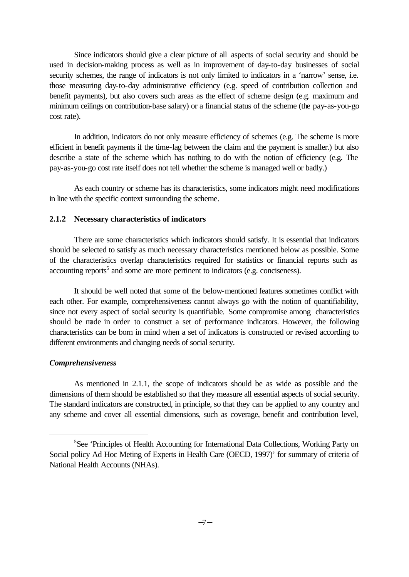Since indicators should give a clear picture of all aspects of social security and should be used in decision-making process as well as in improvement of day-to-day businesses of social security schemes, the range of indicators is not only limited to indicators in a 'narrow' sense, i.e. those measuring day-to-day administrative efficiency (e.g. speed of contribution collection and benefit payments), but also covers such areas as the effect of scheme design (e.g. maximum and minimum ceilings on contribution-base salary) or a financial status of the scheme (the pay-as-you-go cost rate).

In addition, indicators do not only measure efficiency of schemes (e.g. The scheme is more efficient in benefit payments if the time-lag between the claim and the payment is smaller.) but also describe a state of the scheme which has nothing to do with the notion of efficiency (e.g. The pay-as-you-go cost rate itself does not tell whether the scheme is managed well or badly.)

As each country or scheme has its characteristics, some indicators might need modifications in line with the specific context surrounding the scheme.

### **2.1.2 Necessary characteristics of indicators**

There are some characteristics which indicators should satisfy. It is essential that indicators should be selected to satisfy as much necessary characteristics mentioned below as possible. Some of the characteristics overlap characteristics required for statistics or financial reports such as  $\alpha$  accounting reports<sup>5</sup> and some are more pertinent to indicators (e.g. conciseness).

It should be well noted that some of the below-mentioned features sometimes conflict with each other. For example, comprehensiveness cannot always go with the notion of quantifiability, since not every aspect of social security is quantifiable. Some compromise among characteristics should be made in order to construct a set of performance indicators. However, the following characteristics can be born in mind when a set of indicators is constructed or revised according to different environments and changing needs of social security.

### *Comprehensiveness*

l

As mentioned in 2.1.1, the scope of indicators should be as wide as possible and the dimensions of them should be established so that they measure all essential aspects of social security. The standard indicators are constructed, in principle, so that they can be applied to any country and any scheme and cover all essential dimensions, such as coverage, benefit and contribution level,

<sup>&</sup>lt;sup>5</sup>See 'Principles of Health Accounting for International Data Collections, Working Party on Social policy Ad Hoc Meting of Experts in Health Care (OECD, 1997)' for summary of criteria of National Health Accounts (NHAs).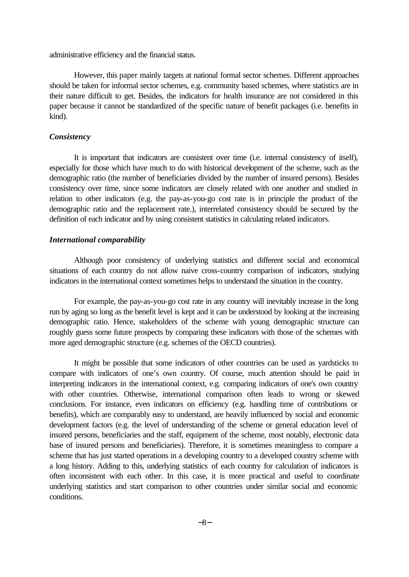administrative efficiency and the financial status.

However, this paper mainly targets at national formal sector schemes. Different approaches should be taken for informal sector schemes, e.g. community based schemes, where statistics are in their nature difficult to get. Besides, the indicators for health insurance are not considered in this paper because it cannot be standardized of the specific nature of benefit packages (i.e. benefits in kind).

### *Consistency*

It is important that indicators are consistent over time (i.e. internal consistency of itself), especially for those which have much to do with historical development of the scheme, such as the demographic ratio (the number of beneficiaries divided by the number of insured persons). Besides consistency over time, since some indicators are closely related with one another and studied in relation to other indicators (e.g. the pay-as-you-go cost rate is in principle the product of the demographic ratio and the replacement rate.), interrelated consistency should be secured by the definition of each indicator and by using consistent statistics in calculating related indicators.

# *International comparability*

Although poor consistency of underlying statistics and different social and economical situations of each country do not allow naive cross-country comparison of indicators, studying indicators in the international context sometimes helps to understand the situation in the country.

For example, the pay-as-you-go cost rate in any country will inevitably increase in the long run by aging so long as the benefit level is kept and it can be understood by looking at the increasing demographic ratio. Hence, stakeholders of the scheme with young demographic structure can roughly guess some future prospects by comparing these indicators with those of the schemes with more aged demographic structure (e.g. schemes of the OECD countries).

It might be possible that some indicators of other countries can be used as yardsticks to compare with indicators of one's own country. Of course, much attention should be paid in interpreting indicators in the international context, e.g. comparing indicators of one's own country with other countries. Otherwise, international comparison often leads to wrong or skewed conclusions. For instance, even indicators on efficiency (e.g. handling time of contributions or benefits), which are comparably easy to understand, are heavily influenced by social and economic development factors (e.g. the level of understanding of the scheme or general education level of insured persons, beneficiaries and the staff, equipment of the scheme, most notably, electronic data base of insured persons and beneficiaries). Therefore, it is sometimes meaningless to compare a scheme that has just started operations in a developing country to a developed country scheme with a long history. Adding to this, underlying statistics of each country for calculation of indicators is often inconsistent with each other. In this case, it is more practical and useful to coordinate underlying statistics and start comparison to other countries under similar social and economic conditions.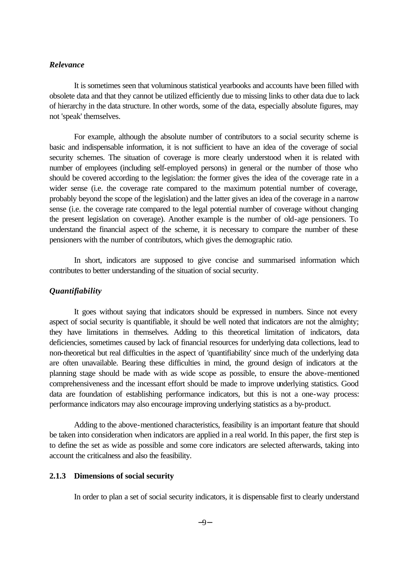# *Relevance*

It is sometimes seen that voluminous statistical yearbooks and accounts have been filled with obsolete data and that they cannot be utilized efficiently due to missing links to other data due to lack of hierarchy in the data structure. In other words, some of the data, especially absolute figures, may not 'speak' themselves.

For example, although the absolute number of contributors to a social security scheme is basic and indispensable information, it is not sufficient to have an idea of the coverage of social security schemes. The situation of coverage is more clearly understood when it is related with number of employees (including self-employed persons) in general or the number of those who should be covered according to the legislation: the former gives the idea of the coverage rate in a wider sense (i.e. the coverage rate compared to the maximum potential number of coverage, probably beyond the scope of the legislation) and the latter gives an idea of the coverage in a narrow sense (i.e. the coverage rate compared to the legal potential number of coverage without changing the present legislation on coverage). Another example is the number of old-age pensioners. To understand the financial aspect of the scheme, it is necessary to compare the number of these pensioners with the number of contributors, which gives the demographic ratio.

In short, indicators are supposed to give concise and summarised information which contributes to better understanding of the situation of social security.

# *Quantifiability*

It goes without saying that indicators should be expressed in numbers. Since not every aspect of social security is quantifiable, it should be well noted that indicators are not the almighty; they have limitations in themselves. Adding to this theoretical limitation of indicators, data deficiencies, sometimes caused by lack of financial resources for underlying data collections, lead to non-theoretical but real difficulties in the aspect of 'quantifiability' since much of the underlying data are often unavailable. Bearing these difficulties in mind, the ground design of indicators at the planning stage should be made with as wide scope as possible, to ensure the above-mentioned comprehensiveness and the incessant effort should be made to improve underlying statistics. Good data are foundation of establishing performance indicators, but this is not a one-way process: performance indicators may also encourage improving underlying statistics as a by-product.

Adding to the above-mentioned characteristics, feasibility is an important feature that should be taken into consideration when indicators are applied in a real world. In this paper, the first step is to define the set as wide as possible and some core indicators are selected afterwards, taking into account the criticalness and also the feasibility.

### **2.1.3 Dimensions of social security**

In order to plan a set of social security indicators, it is dispensable first to clearly understand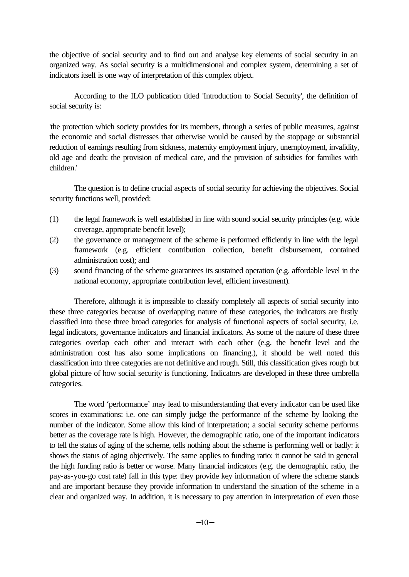the objective of social security and to find out and analyse key elements of social security in an organized way. As social security is a multidimensional and complex system, determining a set of indicators itself is one way of interpretation of this complex object.

According to the ILO publication titled 'Introduction to Social Security', the definition of social security is:

'the protection which society provides for its members, through a series of public measures, against the economic and social distresses that otherwise would be caused by the stoppage or substantial reduction of earnings resulting from sickness, maternity employment injury, unemployment, invalidity, old age and death: the provision of medical care, and the provision of subsidies for families with children.'

The question is to define crucial aspects of social security for achieving the objectives. Social security functions well, provided:

- (1) the legal framework is well established in line with sound social security principles (e.g. wide coverage, appropriate benefit level);
- (2) the governance or management of the scheme is performed efficiently in line with the legal framework (e.g. efficient contribution collection, benefit disbursement, contained administration cost); and
- (3) sound financing of the scheme guarantees its sustained operation (e.g. affordable level in the national economy, appropriate contribution level, efficient investment).

Therefore, although it is impossible to classify completely all aspects of social security into these three categories because of overlapping nature of these categories, the indicators are firstly classified into these three broad categories for analysis of functional aspects of social security, i.e. legal indicators, governance indicators and financial indicators. As some of the nature of these three categories overlap each other and interact with each other (e.g. the benefit level and the administration cost has also some implications on financing.), it should be well noted this classification into three categories are not definitive and rough. Still, this classification gives rough but global picture of how social security is functioning. Indicators are developed in these three umbrella categories.

The word 'performance' may lead to misunderstanding that every indicator can be used like scores in examinations: i.e. one can simply judge the performance of the scheme by looking the number of the indicator. Some allow this kind of interpretation; a social security scheme performs better as the coverage rate is high. However, the demographic ratio, one of the important indicators to tell the status of aging of the scheme, tells nothing about the scheme is performing well or badly: it shows the status of aging objectively. The same applies to funding ratio: it cannot be said in general the high funding ratio is better or worse. Many financial indicators (e.g. the demographic ratio, the pay-as-you-go cost rate) fall in this type: they provide key information of where the scheme stands and are important because they provide information to understand the situation of the scheme in a clear and organized way. In addition, it is necessary to pay attention in interpretation of even those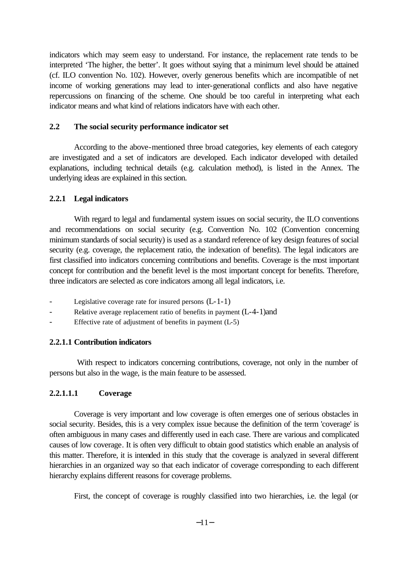indicators which may seem easy to understand. For instance, the replacement rate tends to be interpreted 'The higher, the better'. It goes without saying that a minimum level should be attained (cf. ILO convention No. 102). However, overly generous benefits which are incompatible of net income of working generations may lead to inter-generational conflicts and also have negative repercussions on financing of the scheme. One should be too careful in interpreting what each indicator means and what kind of relations indicators have with each other.

# **2.2 The social security performance indicator set**

According to the above-mentioned three broad categories, key elements of each category are investigated and a set of indicators are developed. Each indicator developed with detailed explanations, including technical details (e.g. calculation method), is listed in the Annex. The underlying ideas are explained in this section.

# **2.2.1 Legal indicators**

With regard to legal and fundamental system issues on social security, the ILO conventions and recommendations on social security (e.g. Convention No. 102 (Convention concerning minimum standards of social security) is used as a standard reference of key design features of social security (e.g. coverage, the replacement ratio, the indexation of benefits). The legal indicators are first classified into indicators concerning contributions and benefits. Coverage is the most important concept for contribution and the benefit level is the most important concept for benefits. Therefore, three indicators are selected as core indicators among all legal indicators, i.e.

- Legislative coverage rate for insured persons  $(L-1-1)$
- Relative average replacement ratio of benefits in payment  $(L-4-1)$  and
- Effective rate of adjustment of benefits in payment  $(L-5)$

# **2.2.1.1 Contribution indicators**

 With respect to indicators concerning contributions, coverage, not only in the number of persons but also in the wage, is the main feature to be assessed.

# **2.2.1.1.1 Coverage**

Coverage is very important and low coverage is often emerges one of serious obstacles in social security. Besides, this is a very complex issue because the definition of the term 'coverage' is often ambiguous in many cases and differently used in each case. There are various and complicated causes of low coverage. It is often very difficult to obtain good statistics which enable an analysis of this matter. Therefore, it is intended in this study that the coverage is analyzed in several different hierarchies in an organized way so that each indicator of coverage corresponding to each different hierarchy explains different reasons for coverage problems.

First, the concept of coverage is roughly classified into two hierarchies, i.e. the legal (or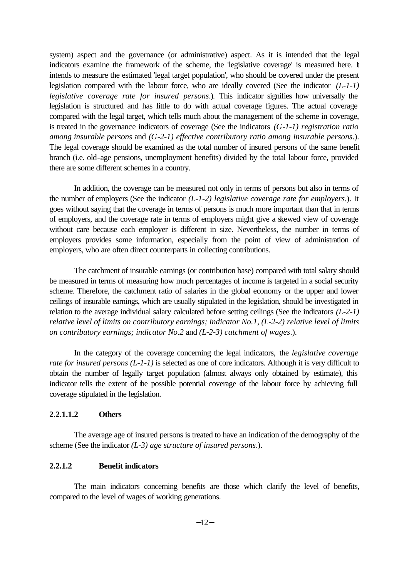system) aspect and the governance (or administrative) aspect. As it is intended that the legal indicators examine the framework of the scheme, the 'legislative coverage' is measured here. It intends to measure the estimated 'legal target population', who should be covered under the present legislation compared with the labour force, who are ideally covered (See the indicator *(L-1-1) legislative coverage rate for insured persons*.). This indicator signifies how universally the legislation is structured and has little to do with actual coverage figures. The actual coverage compared with the legal target, which tells much about the management of the scheme in coverage, is treated in the governance indicators of coverage (See the indicators *(G-1-1) registration ratio among insurable persons* and *(G-2-1) effective contributory ratio among insurable persons*.). The legal coverage should be examined as the total number of insured persons of the same benefit branch (i.e. old-age pensions, unemployment benefits) divided by the total labour force, provided there are some different schemes in a country.

In addition, the coverage can be measured not only in terms of persons but also in terms of the number of employers (See the indicator *(L-1-2) legislative coverage rate for employers*.). It goes without saying that the coverage in terms of persons is much more important than that in terms of employers, and the coverage rate in terms of employers might give a skewed view of coverage without care because each employer is different in size. Nevertheless, the number in terms of employers provides some information, especially from the point of view of administration of employers, who are often direct counterparts in collecting contributions.

The catchment of insurable earnings (or contribution base) compared with total salary should be measured in terms of measuring how much percentages of income is targeted in a social security scheme. Therefore, the catchment ratio of salaries in the global economy or the upper and lower ceilings of insurable earnings, which are usually stipulated in the legislation, should be investigated in relation to the average individual salary calculated before setting ceilings (See the indicators *(L-2-1) relative level of limits on contributory earnings; indicator No.1*, *(L-2-2) relative level of limits on contributory earnings; indicator No.2* and *(L-2-3) catchment of wages*.).

In the category of the coverage concerning the legal indicators, the *legislative coverage rate for insured persons (L-1-1)* is selected as one of core indicators. Although it is very difficult to obtain the number of legally target population (almost always only obtained by estimate), this indicator tells the extent of the possible potential coverage of the labour force by achieving full coverage stipulated in the legislation.

### **2.2.1.1.2 Others**

The average age of insured persons is treated to have an indication of the demography of the scheme (See the indicator *(L-3) age structure of insured persons*.).

# **2.2.1.2 Benefit indicators**

The main indicators concerning benefits are those which clarify the level of benefits, compared to the level of wages of working generations.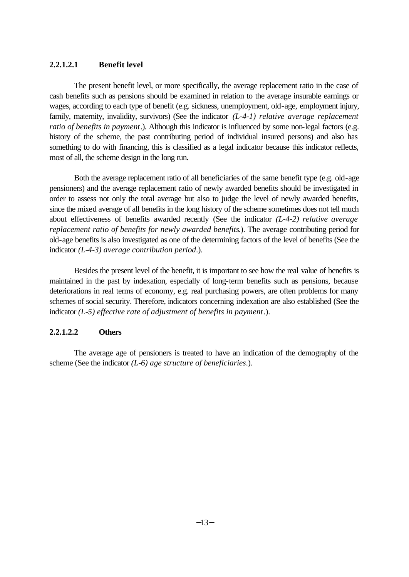# **2.2.1.2.1 Benefit level**

The present benefit level, or more specifically, the average replacement ratio in the case of cash benefits such as pensions should be examined in relation to the average insurable earnings or wages, according to each type of benefit (e.g. sickness, unemployment, old-age, employment injury, family, maternity, invalidity, survivors) (See the indicator *(L-4-1) relative average replacement ratio of benefits in payment*.). Although this indicator is influenced by some non-legal factors (e.g. history of the scheme, the past contributing period of individual insured persons) and also has something to do with financing, this is classified as a legal indicator because this indicator reflects, most of all, the scheme design in the long run.

Both the average replacement ratio of all beneficiaries of the same benefit type (e.g. old-age pensioners) and the average replacement ratio of newly awarded benefits should be investigated in order to assess not only the total average but also to judge the level of newly awarded benefits, since the mixed average of all benefits in the long history of the scheme sometimes does not tell much about effectiveness of benefits awarded recently (See the indicator *(L-4-2) relative average replacement ratio of benefits for newly awarded benefits*.). The average contributing period for old-age benefits is also investigated as one of the determining factors of the level of benefits (See the indicator *(L-4-3) average contribution period*.).

Besides the present level of the benefit, it is important to see how the real value of benefits is maintained in the past by indexation, especially of long-term benefits such as pensions, because deteriorations in real terms of economy, e.g. real purchasing powers, are often problems for many schemes of social security. Therefore, indicators concerning indexation are also established (See the indicator *(L-5) effective rate of adjustment of benefits in payment*.).

# **2.2.1.2.2 Others**

The average age of pensioners is treated to have an indication of the demography of the scheme (See the indicator *(L-6) age structure of beneficiaries*.).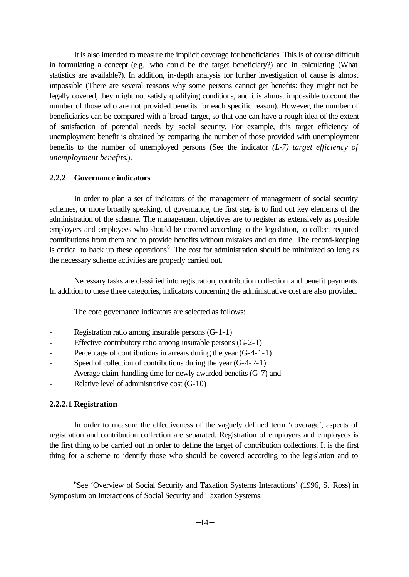It is also intended to measure the implicit coverage for beneficiaries. This is of course difficult in formulating a concept (e.g. who could be the target beneficiary?) and in calculating (What statistics are available?). In addition, in-depth analysis for further investigation of cause is almost impossible (There are several reasons why some persons cannot get benefits: they might not be legally covered, they might not satisfy qualifying conditions, and  $\dot{\mathbf{t}}$  is almost impossible to count the number of those who are not provided benefits for each specific reason). However, the number of beneficiaries can be compared with a 'broad' target, so that one can have a rough idea of the extent of satisfaction of potential needs by social security. For example, this target efficiency of unemployment benefit is obtained by comparing the number of those provided with unemployment benefits to the number of unemployed persons (See the indicator *(L-7) target efficiency of unemployment benefits*.).

# **2.2.2 Governance indicators**

In order to plan a set of indicators of the management of management of social security schemes, or more broadly speaking, of governance, the first step is to find out key elements of the administration of the scheme. The management objectives are to register as extensively as possible employers and employees who should be covered according to the legislation, to collect required contributions from them and to provide benefits without mistakes and on time. The record-keeping is critical to back up these operations<sup>6</sup>. The cost for administration should be minimized so long as the necessary scheme activities are properly carried out.

Necessary tasks are classified into registration, contribution collection and benefit payments. In addition to these three categories, indicators concerning the administrative cost are also provided.

The core governance indicators are selected as follows:

- Registration ratio among insurable persons (G-1-1)
- Effective contributory ratio among insurable persons  $(G-2-1)$
- Percentage of contributions in arrears during the year (G-4-1-1)
- Speed of collection of contributions during the year (G-4-2-1)
- Average claim-handling time for newly awarded benefits (G-7) and
- Relative level of administrative cost (G-10)

# **2.2.2.1 Registration**

l

In order to measure the effectiveness of the vaguely defined term 'coverage', aspects of registration and contribution collection are separated. Registration of employers and employees is the first thing to be carried out in order to define the target of contribution collections. It is the first thing for a scheme to identify those who should be covered according to the legislation and to

<sup>&</sup>lt;sup>6</sup>See 'Overview of Social Security and Taxation Systems Interactions' (1996, S. Ross) in Symposium on Interactions of Social Security and Taxation Systems.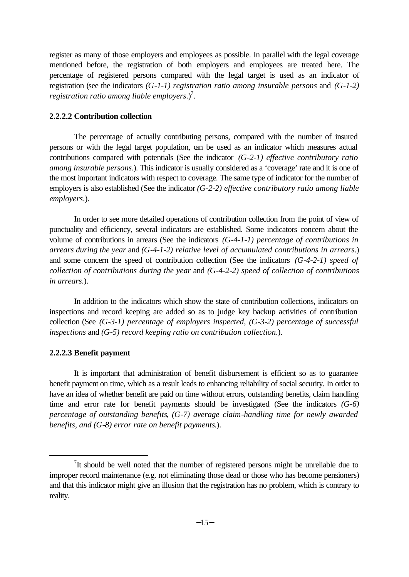register as many of those employers and employees as possible. In parallel with the legal coverage mentioned before, the registration of both employers and employees are treated here. The percentage of registered persons compared with the legal target is used as an indicator of registration (see the indicators *(G-1-1) registration ratio among insurable persons* and *(G-1-2)*  registration ratio among liable employers.)<sup>7</sup>.

# **2.2.2.2 Contribution collection**

The percentage of actually contributing persons, compared with the number of insured persons or with the legal target population, can be used as an indicator which measures actual contributions compared with potentials (See the indicator *(G-2-1) effective contributory ratio among insurable persons*.). This indicator is usually considered as a 'coverage' rate and it is one of the most important indicators with respect to coverage. The same type of indicator for the number of employers is also established (See the indicator *(G-2-2) effective contributory ratio among liable employers*.).

In order to see more detailed operations of contribution collection from the point of view of punctuality and efficiency, several indicators are established. Some indicators concern about the volume of contributions in arrears (See the indicators *(G-4-1-1) percentage of contributions in arrears during the year* and *(G-4-1-2) relative level of accumulated contributions in arrears*.) and some concern the speed of contribution collection (See the indicators *(G-4-2-1) speed of collection of contributions during the year* and *(G-4-2-2) speed of collection of contributions in arrears*.).

In addition to the indicators which show the state of contribution collections, indicators on inspections and record keeping are added so as to judge key backup activities of contribution collection (See *(G-3-1) percentage of employers inspected*, *(G-3-2) percentage of successful inspections* and *(G-5) record keeping ratio on contribution collection*.).

### **2.2.2.3 Benefit payment**

l

It is important that administration of benefit disbursement is efficient so as to guarantee benefit payment on time, which as a result leads to enhancing reliability of social security. In order to have an idea of whether benefit are paid on time without errors, outstanding benefits, claim handling time and error rate for benefit payments should be investigated (See the indicators *(G-6) percentage of outstanding benefits*, *(G-7) average claim-handling time for newly awarded benefits, and (G-8) error rate on benefit payments*.).

<sup>&</sup>lt;sup>7</sup>It should be well noted that the number of registered persons might be unreliable due to improper record maintenance (e.g. not eliminating those dead or those who has become pensioners) and that this indicator might give an illusion that the registration has no problem, which is contrary to reality.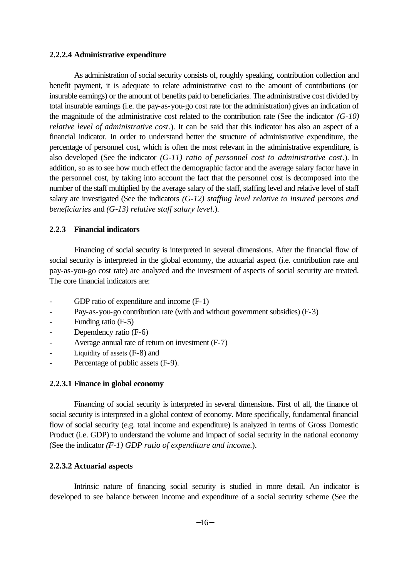# **2.2.2.4 Administrative expenditure**

As administration of social security consists of, roughly speaking, contribution collection and benefit payment, it is adequate to relate administrative cost to the amount of contributions (or insurable earnings) or the amount of benefits paid to beneficiaries. The administrative cost divided by total insurable earnings (i.e. the pay-as-you-go cost rate for the administration) gives an indication of the magnitude of the administrative cost related to the contribution rate (See the indicator *(G-10) relative level of administrative cost*.). It can be said that this indicator has also an aspect of a financial indicator. In order to understand better the structure of administrative expenditure, the percentage of personnel cost, which is often the most relevant in the administrative expenditure, is also developed (See the indicator *(G-11) ratio of personnel cost to administrative cost*.). In addition, so as to see how much effect the demographic factor and the average salary factor have in the personnel cost, by taking into account the fact that the personnel cost is decomposed into the number of the staff multiplied by the average salary of the staff, staffing level and relative level of staff salary are investigated (See the indicators *(G-12) staffing level relative to insured persons and beneficiaries* and *(G-13) relative staff salary level*.).

# **2.2.3 Financial indicators**

Financing of social security is interpreted in several dimensions. After the financial flow of social security is interpreted in the global economy, the actuarial aspect (i.e. contribution rate and pay-as-you-go cost rate) are analyzed and the investment of aspects of social security are treated. The core financial indicators are:

- GDP ratio of expenditure and income  $(F-1)$
- Pay-as-you-go contribution rate (with and without government subsidies) (F-3)
- Funding ratio (F-5)
- Dependency ratio (F-6)
- Average annual rate of return on investment (F-7)
- Liquidity of assets  $(F-8)$  and
- Percentage of public assets (F-9).

### **2.2.3.1 Finance in global economy**

Financing of social security is interpreted in several dimensions. First of all, the finance of social security is interpreted in a global context of economy. More specifically, fundamental financial flow of social security (e.g. total income and expenditure) is analyzed in terms of Gross Domestic Product (i.e. GDP) to understand the volume and impact of social security in the national economy (See the indicator *(F-1) GDP ratio of expenditure and income*.).

# **2.2.3.2 Actuarial aspects**

Intrinsic nature of financing social security is studied in more detail. An indicator is developed to see balance between income and expenditure of a social security scheme (See the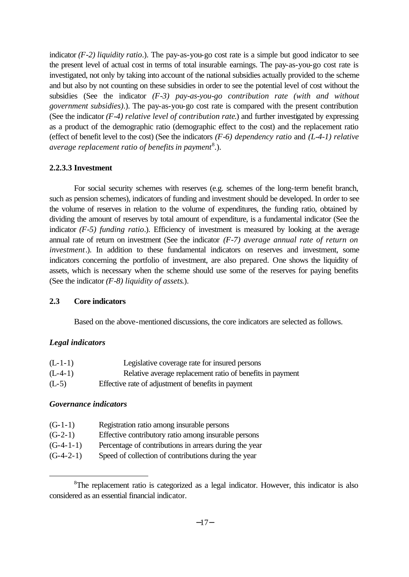indicator *(F-2) liquidity ratio*.). The pay-as-you-go cost rate is a simple but good indicator to see the present level of actual cost in terms of total insurable earnings. The pay-as-you-go cost rate is investigated, not only by taking into account of the national subsidies actually provided to the scheme and but also by not counting on these subsidies in order to see the potential level of cost without the subsidies (See the indicator *(F-3) pay-as-you-go contribution rate (with and without government subsidies)*.). The pay-as-you-go cost rate is compared with the present contribution (See the indicator *(F-4) relative level of contribution rate*.) and further investigated by expressing as a product of the demographic ratio (demographic effect to the cost) and the replacement ratio (effect of benefit level to the cost) (See the indicators *(F-6) dependency ratio* and *(L-4-1) relative*  average replacement ratio of benefits in payment<sup>8</sup>.).

# **2.2.3.3 Investment**

For social security schemes with reserves (e.g. schemes of the long-term benefit branch, such as pension schemes), indicators of funding and investment should be developed. In order to see the volume of reserves in relation to the volume of expenditures, the funding ratio, obtained by dividing the amount of reserves by total amount of expenditure, is a fundamental indicator (See the indicator *(F-5)* funding *ratio*.). Efficiency of investment is measured by looking at the average annual rate of return on investment (See the indicator *(F-7) average annual rate of return on investment*.). In addition to these fundamental indicators on reserves and investment, some indicators concerning the portfolio of investment, are also prepared. One shows the liquidity of assets, which is necessary when the scheme should use some of the reserves for paying benefits (See the indicator *(F-8) liquidity of assets*.).

### **2.3 Core indicators**

Based on the above-mentioned discussions, the core indicators are selected as follows.

### *Legal indicators*

| $(L-1-1)$ | Legislative coverage rate for insured persons             |
|-----------|-----------------------------------------------------------|
| $(L-4-1)$ | Relative average replacement ratio of benefits in payment |
| $(L-5)$   | Effective rate of adjustment of benefits in payment       |

# *Governance indicators*

l

| $(G-1-1)$   | Registration ratio among insurable persons             |
|-------------|--------------------------------------------------------|
| $(G-2-1)$   | Effective contributory ratio among insurable persons   |
| $(G-4-1-1)$ | Percentage of contributions in arrears during the year |
| $(G-4-2-1)$ | Speed of collection of contributions during the year   |

<sup>&</sup>lt;sup>8</sup>The replacement ratio is categorized as a legal indicator. However, this indicator is also considered as an essential financial indicator.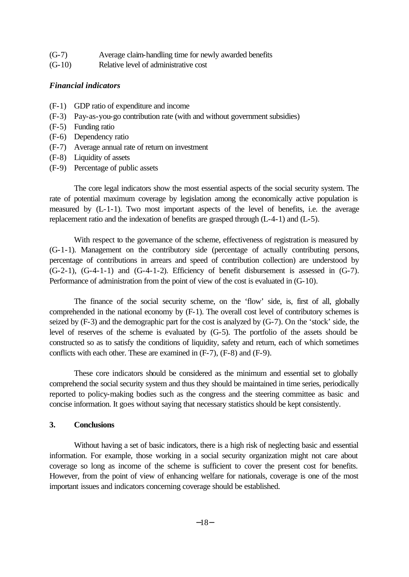| $(G-7)$ |  |  |  | Average claim-handling time for newly awarded benefits |
|---------|--|--|--|--------------------------------------------------------|
|---------|--|--|--|--------------------------------------------------------|

(G-10) Relative level of administrative cost

# *Financial indicators*

- (F-1) GDP ratio of expenditure and income
- (F-3) Pay-as-you-go contribution rate (with and without government subsidies)
- (F-5) Funding ratio
- (F-6) Dependency ratio
- (F-7) Average annual rate of return on investment
- (F-8) Liquidity of assets
- (F-9) Percentage of public assets

The core legal indicators show the most essential aspects of the social security system. The rate of potential maximum coverage by legislation among the economically active population is measured by (L-1-1). Two most important aspects of the level of benefits, i.e. the average replacement ratio and the indexation of benefits are grasped through (L-4-1) and (L-5).

With respect to the governance of the scheme, effectiveness of registration is measured by (G-1-1). Management on the contributory side (percentage of actually contributing persons, percentage of contributions in arrears and speed of contribution collection) are understood by  $(G-2-1)$ ,  $(G-4-1-1)$  and  $(G-4-1-2)$ . Efficiency of benefit disbursement is assessed in  $(G-7)$ . Performance of administration from the point of view of the cost is evaluated in (G-10).

The finance of the social security scheme, on the 'flow' side, is, first of all, globally comprehended in the national economy by (F-1). The overall cost level of contributory schemes is seized by (F-3) and the demographic part for the cost is analyzed by (G-7). On the 'stock' side, the level of reserves of the scheme is evaluated by (G-5). The portfolio of the assets should be constructed so as to satisfy the conditions of liquidity, safety and return, each of which sometimes conflicts with each other. These are examined in (F-7), (F-8) and (F-9).

These core indicators should be considered as the minimum and essential set to globally comprehend the social security system and thus they should be maintained in time series, periodically reported to policy-making bodies such as the congress and the steering committee as basic and concise information. It goes without saying that necessary statistics should be kept consistently.

# **3. Conclusions**

Without having a set of basic indicators, there is a high risk of neglecting basic and essential information. For example, those working in a social security organization might not care about coverage so long as income of the scheme is sufficient to cover the present cost for benefits. However, from the point of view of enhancing welfare for nationals, coverage is one of the most important issues and indicators concerning coverage should be established.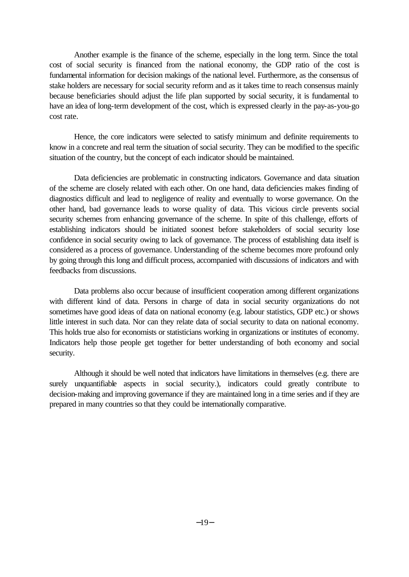Another example is the finance of the scheme, especially in the long term. Since the total cost of social security is financed from the national economy, the GDP ratio of the cost is fundamental information for decision makings of the national level. Furthermore, as the consensus of stake holders are necessary for social security reform and as it takes time to reach consensus mainly because beneficiaries should adjust the life plan supported by social security, it is fundamental to have an idea of long-term development of the cost, which is expressed clearly in the pay-as-you-go cost rate.

Hence, the core indicators were selected to satisfy minimum and definite requirements to know in a concrete and real term the situation of social security. They can be modified to the specific situation of the country, but the concept of each indicator should be maintained.

Data deficiencies are problematic in constructing indicators. Governance and data situation of the scheme are closely related with each other. On one hand, data deficiencies makes finding of diagnostics difficult and lead to negligence of reality and eventually to worse governance. On the other hand, bad governance leads to worse quality of data. This vicious circle prevents social security schemes from enhancing governance of the scheme. In spite of this challenge, efforts of establishing indicators should be initiated soonest before stakeholders of social security lose confidence in social security owing to lack of governance. The process of establishing data itself is considered as a process of governance. Understanding of the scheme becomes more profound only by going through this long and difficult process, accompanied with discussions of indicators and with feedbacks from discussions.

Data problems also occur because of insufficient cooperation among different organizations with different kind of data. Persons in charge of data in social security organizations do not sometimes have good ideas of data on national economy (e.g. labour statistics, GDP etc.) or shows little interest in such data. Nor can they relate data of social security to data on national economy. This holds true also for economists or statisticians working in organizations or institutes of economy. Indicators help those people get together for better understanding of both economy and social security.

Although it should be well noted that indicators have limitations in themselves (e.g. there are surely unquantifiable aspects in social security.), indicators could greatly contribute to decision-making and improving governance if they are maintained long in a time series and if they are prepared in many countries so that they could be internationally comparative.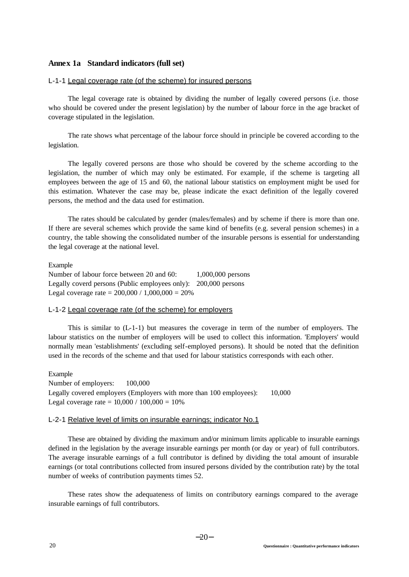### **Annex 1a Standard indicators (full set)**

#### L-1-1 Legal coverage rate (of the scheme) for insured persons

The legal coverage rate is obtained by dividing the number of legally covered persons (i.e. those who should be covered under the present legislation) by the number of labour force in the age bracket of coverage stipulated in the legislation.

The rate shows what percentage of the labour force should in principle be covered according to the legislation.

The legally covered persons are those who should be covered by the scheme according to the legislation, the number of which may only be estimated. For example, if the scheme is targeting all employees between the age of 15 and 60, the national labour statistics on employment might be used for this estimation. Whatever the case may be, please indicate the exact definition of the legally covered persons, the method and the data used for estimation.

The rates should be calculated by gender (males/females) and by scheme if there is more than one. If there are several schemes which provide the same kind of benefits (e.g. several pension schemes) in a country, the table showing the consolidated number of the insurable persons is essential for understanding the legal coverage at the national level.

Example Number of labour force between 20 and 60: 1,000,000 persons Legally coverd persons (Public employees only): 200,000 persons Legal coverage rate =  $200,000 / 1,000,000 = 20%$ 

#### L-1-2 Legal coverage rate (of the scheme) for employers

This is similar to  $(L-1-1)$  but measures the coverage in term of the number of employers. The labour statistics on the number of employers will be used to collect this information. 'Employers' would normally mean 'establishments' (excluding self-employed persons). It should be noted that the definition used in the records of the scheme and that used for labour statistics corresponds with each other.

Example Number of employers: 100,000 Legally covered employers (Employers with more than 100 employees): 10,000 Legal coverage rate =  $10,000 / 100,000 = 10%$ 

#### L-2-1 Relative level of limits on insurable earnings; indicator No.1

These are obtained by dividing the maximum and/or minimum limits applicable to insurable earnings defined in the legislation by the average insurable earnings per month (or day or year) of full contributors. The average insurable earnings of a full contributor is defined by dividing the total amount of insurable earnings (or total contributions collected from insured persons divided by the contribution rate) by the total number of weeks of contribution payments times 52.

These rates show the adequateness of limits on contributory earnings compared to the average insurable earnings of full contributors.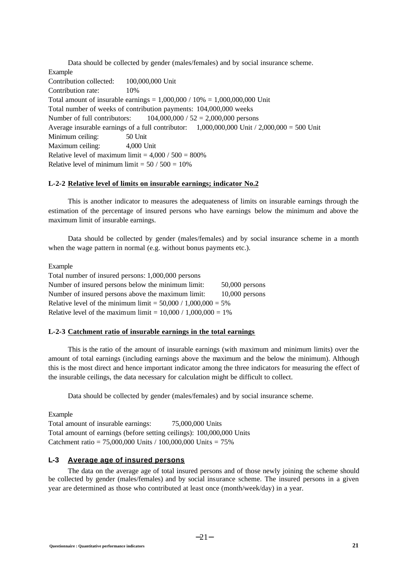Data should be collected by gender (males/females) and by social insurance scheme. Example Contribution collected: 100,000,000 Unit Contribution rate: 10% Total amount of insurable earnings =  $1,000,000 / 10\% = 1,000,000,000$  Unit Total number of weeks of contribution payments: 104,000,000 weeks Number of full contributors: 104,000,000 / 52 = 2,000,000 persons Average insurable earnings of a full contributor:  $1,000,000,000$  Unit  $/ 2,000,000 = 500$  Unit Minimum ceiling: 50 Unit Maximum ceiling: 4,000 Unit Relative level of maximum limit  $= 4,000 / 500 = 800\%$ Relative level of minimum limit  $= 50 / 500 = 10\%$ 

### **L-2-2 Relative level of limits on insurable earnings; indicator No.2**

This is another indicator to measures the adequateness of limits on insurable earnings through the estimation of the percentage of insured persons who have earnings below the minimum and above the maximum limit of insurable earnings.

Data should be collected by gender (males/females) and by social insurance scheme in a month when the wage pattern in normal (e.g. without bonus payments etc.).

Example

Total number of insured persons: 1,000,000 persons Number of insured persons below the minimum limit: 50,000 persons Number of insured persons above the maximum limit: 10,000 persons Relative level of the minimum limit =  $50,000 / 1,000,000 = 5%$ Relative level of the maximum limit =  $10,000 / 1,000,000 = 1\%$ 

### **L-2-3 Catchment ratio of insurable earnings in the total earnings**

This is the ratio of the amount of insurable earnings (with maximum and minimum limits) over the amount of total earnings (including earnings above the maximum and the below the minimum). Although this is the most direct and hence important indicator among the three indicators for measuring the effect of the insurable ceilings, the data necessary for calculation might be difficult to collect.

Data should be collected by gender (males/females) and by social insurance scheme.

Example

Total amount of insurable earnings: 75,000,000 Units Total amount of earnings (before setting ceilings): 100,000,000 Units Catchment ratio = 75,000,000 Units / 100,000,000 Units = 75%

### **L-3 Average age of insured persons**

The data on the average age of total insured persons and of those newly joining the scheme should be collected by gender (males/females) and by social insurance scheme. The insured persons in a given year are determined as those who contributed at least once (month/week/day) in a year.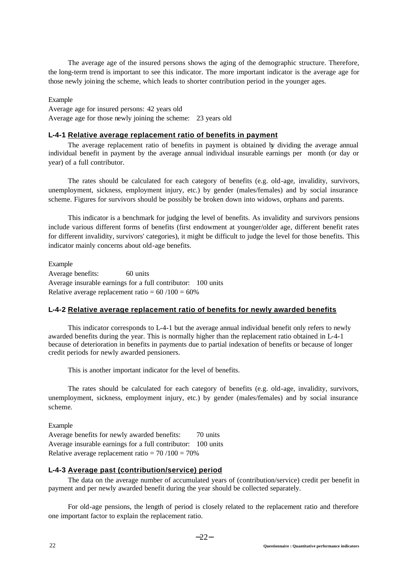The average age of the insured persons shows the aging of the demographic structure. Therefore, the long-term trend is important to see this indicator. The more important indicator is the average age for those newly joining the scheme, which leads to shorter contribution period in the younger ages.

#### Example

Average age for insured persons: 42 years old Average age for those newly joining the scheme: 23 years old

#### **L-4-1 Relative average replacement ratio of benefits in payment**

The average replacement ratio of benefits in payment is obtained by dividing the average annual individual benefit in payment by the average annual individual insurable earnings per month (or day or year) of a full contributor.

The rates should be calculated for each category of benefits (e.g. old-age, invalidity, survivors, unemployment, sickness, employment injury, etc.) by gender (males/females) and by social insurance scheme. Figures for survivors should be possibly be broken down into widows, orphans and parents.

This indicator is a benchmark for judging the level of benefits. As invalidity and survivors pensions include various different forms of benefits (first endowment at younger/older age, different benefit rates for different invalidity, survivors' categories), it might be difficult to judge the level for those benefits. This indicator mainly concerns about old-age benefits.

Example Average benefits: 60 units Average insurable earnings for a full contributor: 100 units Relative average replacement ratio  $= 60/100 = 60\%$ 

#### **L-4-2 Relative average replacement ratio of benefits for newly awarded benefits**

This indicator corresponds to L-4-1 but the average annual individual benefit only refers to newly awarded benefits during the year. This is normally higher than the replacement ratio obtained in L-4-1 because of deterioration in benefits in payments due to partial indexation of benefits or because of longer credit periods for newly awarded pensioners.

This is another important indicator for the level of benefits.

The rates should be calculated for each category of benefits (e.g. old-age, invalidity, survivors, unemployment, sickness, employment injury, etc.) by gender (males/females) and by social insurance scheme.

Example Average benefits for newly awarded benefits: 70 units Average insurable earnings for a full contributor: 100 units Relative average replacement ratio  $= 70/100 = 70\%$ 

#### **L-4-3 Average past (contribution/service) period**

The data on the average number of accumulated years of (contribution/service) credit per benefit in payment and per newly awarded benefit during the year should be collected separately.

For old-age pensions, the length of period is closely related to the replacement ratio and therefore one important factor to explain the replacement ratio.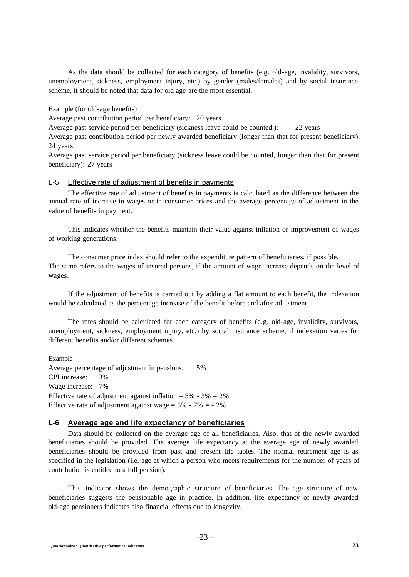As the data should be collected for each category of benefits (e.g. old-age, invalidity, survivors, unemployment, sickness, employment injury, etc.) by gender (males/females) and by social insurance scheme, it should be noted that data for old age are the most essential.

Example (for old-age benefits)

Average past contribution period per beneficiary: 20 years

Average past service period per beneficiary (sickness leave could be counted.): 22 years

Average past contribution period per newly awarded beneficiary (longer than that for present beneficiary): 24 years

Average past service period per beneficiary (sickness leave could be counted, longer than that for present beneficiary): 27 years

#### L-5 Effective rate of adjustment of benefits in payments

The effective rate of adjustment of benefits in payments is calculated as the difference between the annual rate of increase in wages or in consumer prices and the average percentage of adjustment in the value of benefits in payment.

This indicates whether the benefits maintain their value against inflation or improvement of wages of working generations.

The consumer price index should refer to the expenditure pattern of beneficiaries, if possible. The same refers to the wages of insured persons, if the amount of wage increase depends on the level of wages.

If the adjustment of benefits is carried out by adding a flat amount to each benefit, the indexation would be calculated as the percentage increase of the benefit before and after adjustment.

The rates should be calculated for each category of benefits (e.g. old-age, invalidity, survivors, unemployment, sickness, employment injury, etc.) by social insurance scheme, if indexation varies for different benefits and/or different schemes.

Example Average percentage of adjustment in pensions: 5% CPI increase: 3% Wage increase: 7% Effective rate of adjustment against inflation =  $5\%$  -  $3\%$  =  $2\%$ Effective rate of adjustment against wage  $= 5\% - 7\% = -2\%$ 

# **L-6 Average age and life expectancy of beneficiaries**

Data should be collected on the average age of all beneficiaries. Also, that of the newly awarded beneficiaries should be provided. The average life expectancy at the average age of newly awarded beneficiaries should be provided from past and present life tables. The normal retirement age is as specified in the legislation (i.e. age at which a person who meets requirements for the number of years of contribution is entitled to a full pension).

This indicator shows the demographic structure of beneficiaries. The age structure of new beneficiaries suggests the pensionable age in practice. In addition, life expectancy of newly awarded old-age pensioners indicates also financial effects due to longevity.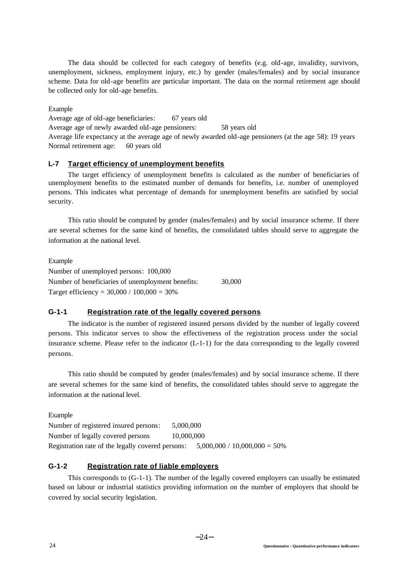The data should be collected for each category of benefits (e.g. old-age, invalidity, survivors, unemployment, sickness, employment injury, etc.) by gender (males/females) and by social insurance scheme. Data for old-age benefits are particular important. The data on the normal retirement age should be collected only for old-age benefits.

### Example

Average age of old-age beneficiaries: 67 years old Average age of newly awarded old-age pensioners: 58 years old Average life expectancy at the average age of newly awarded old-age pensioners (at the age 58): 19 years Normal retirement age: 60 years old

### **L-7 Target efficiency of unemployment benefits**

The target efficiency of unemployment benefits is calculated as the number of beneficiaries of unemployment benefits to the estimated number of demands for benefits, i.e. number of unemployed persons. This indicates what percentage of demands for unemployment benefits are satisfied by social security.

This ratio should be computed by gender (males/females) and by social insurance scheme. If there are several schemes for the same kind of benefits, the consolidated tables should serve to aggregate the information at the national level.

Example

Number of unemployed persons: 100,000 Number of beneficiaries of unemployment benefits: 30,000 Target efficiency =  $30,000 / 100,000 = 30%$ 

# **G-1-1 Registration rate of the legally covered persons**

The indicator is the number of registered insured persons divided by the number of legally covered persons. This indicator serves to show the effectiveness of the registration process under the social insurance scheme. Please refer to the indicator (L-1-1) for the data corresponding to the legally covered persons.

This ratio should be computed by gender (males/females) and by social insurance scheme. If there are several schemes for the same kind of benefits, the consolidated tables should serve to aggregate the information at the national level.

Example

Number of registered insured persons: 5,000,000 Number of legally covered persons 10,000,000 Registration rate of the legally covered persons:  $5,000,000 / 10,000,000 = 50\%$ 

# **G-1-2 Registration rate of liable employers**

This corresponds to (G-1-1). The number of the legally covered employers can usually be estimated based on labour or industrial statistics providing information on the number of employers that should be covered by social security legislation.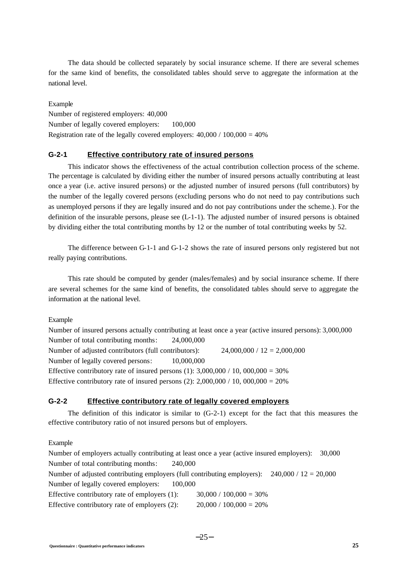The data should be collected separately by social insurance scheme. If there are several schemes for the same kind of benefits, the consolidated tables should serve to aggregate the information at the national level.

Example Number of registered employers: 40,000 Number of legally covered employers: 100,000 Registration rate of the legally covered employers:  $40,000 / 100,000 = 40\%$ 

### **G-2-1 Effective contributory rate of insured persons**

This indicator shows the effectiveness of the actual contribution collection process of the scheme. The percentage is calculated by dividing either the number of insured persons actually contributing at least once a year (i.e. active insured persons) or the adjusted number of insured persons (full contributors) by the number of the legally covered persons (excluding persons who do not need to pay contributions such as unemployed persons if they are legally insured and do not pay contributions under the scheme.). For the definition of the insurable persons, please see  $(L-1-1)$ . The adjusted number of insured persons is obtained by dividing either the total contributing months by 12 or the number of total contributing weeks by 52.

The difference between G-1-1 and G-1-2 shows the rate of insured persons only registered but not really paying contributions.

This rate should be computed by gender (males/females) and by social insurance scheme. If there are several schemes for the same kind of benefits, the consolidated tables should serve to aggregate the information at the national level.

#### Example

Number of insured persons actually contributing at least once a year (active insured persons): 3,000,000 Number of total contributing months: 24,000,000 Number of adjusted contributors (full contributors):  $24,000,000 / 12 = 2,000,000$ Number of legally covered persons: 10,000,000 Effective contributory rate of insured persons (1):  $3,000,000 / 10,000,000 = 30%$ Effective contributory rate of insured persons  $(2)$ :  $2,000,000 / 10,000,000 = 20%$ 

# **G-2-2 Effective contributory rate of legally covered employers**

The definition of this indicator is similar to  $(G-2-1)$  except for the fact that this measures the effective contributory ratio of not insured persons but of employers.

Example

Number of employers actually contributing at least once a year (active insured employers): 30,000 Number of total contributing months: 240,000 Number of adjusted contributing employers (full contributing employers):  $240,000 / 12 = 20,000$ Number of legally covered employers: 100,000 Effective contributory rate of employers  $(1)$ :  $30,000 / 100,000 = 30%$ Effective contributory rate of employers  $(2)$ :  $20,000 / 100,000 = 20%$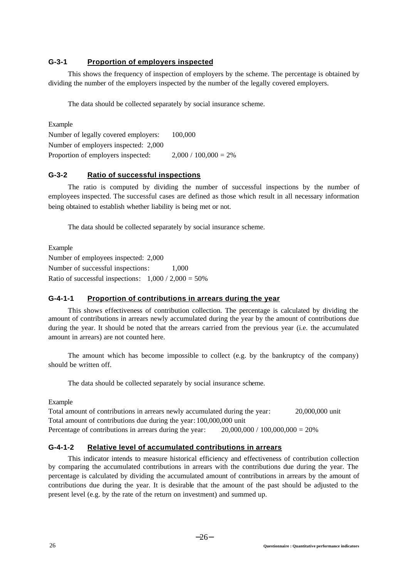# **G-3-1 Proportion of employers inspected**

This shows the frequency of inspection of employers by the scheme. The percentage is obtained by dividing the number of the employers inspected by the number of the legally covered employers.

The data should be collected separately by social insurance scheme.

Example Number of legally covered employers: 100,000 Number of employers inspected: 2,000 Proportion of employers inspected:  $2,000 / 100,000 = 2\%$ 

# **G-3-2 Ratio of successful inspections**

The ratio is computed by dividing the number of successful inspections by the number of employees inspected. The successful cases are defined as those which result in all necessary information being obtained to establish whether liability is being met or not.

The data should be collected separately by social insurance scheme.

Example Number of employees inspected: 2,000 Number of successful inspections:  $1,000$ Ratio of successful inspections:  $1,000 / 2,000 = 50\%$ 

# **G-4-1-1 Proportion of contributions in arrears during the year**

This shows effectiveness of contribution collection. The percentage is calculated by dividing the amount of contributions in arrears newly accumulated during the year by the amount of contributions due during the year. It should be noted that the arrears carried from the previous year (i.e. the accumulated amount in arrears) are not counted here.

The amount which has become impossible to collect (e.g. by the bankruptcy of the company) should be written off.

The data should be collected separately by social insurance scheme.

Example

Total amount of contributions in arrears newly accumulated during the year: 20,000,000 unit Total amount of contributions due during the year: 100,000,000 unit Percentage of contributions in arrears during the year:  $20,000,000 / 100,000,000 = 20%$ 

# **G-4-1-2 Relative level of accumulated contributions in arrears**

This indicator intends to measure historical efficiency and effectiveness of contribution collection by comparing the accumulated contributions in arrears with the contributions due during the year. The percentage is calculated by dividing the accumulated amount of contributions in arrears by the amount of contributions due during the year. It is desirable that the amount of the past should be adjusted to the present level (e.g. by the rate of the return on investment) and summed up.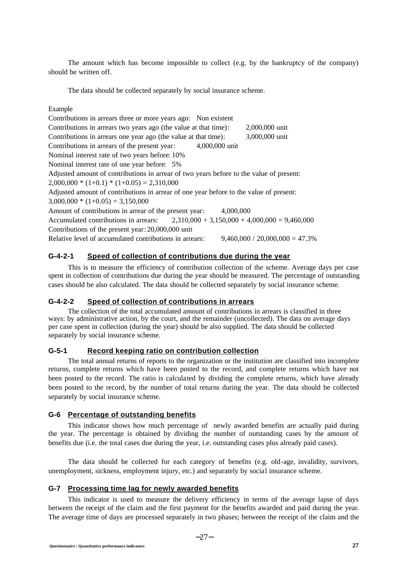The amount which has become impossible to collect (e.g. by the bankruptcy of the company) should be written off.

The data should be collected separately by social insurance scheme.

#### Example

| Contributions in arrears three or more years ago: Non existent                          |                                   |
|-----------------------------------------------------------------------------------------|-----------------------------------|
| Contributions in arrears two years ago (the value at that time):                        | 2,000,000 unit                    |
| Contributions in arrears one year ago (the value at that time):                         | 3,000,000 unit                    |
| Contributions in arrears of the present year:<br>4,000,000 unit                         |                                   |
| Nominal interest rate of two years before: 10%                                          |                                   |
| Nominal interest rate of one year before: 5%                                            |                                   |
| Adjusted amount of contributions in arrear of two years before to the value of present: |                                   |
| $2,000,000 * (1+0.1) * (1+0.05) = 2,310,000$                                            |                                   |
| Adjusted amount of contributions in arrear of one year before to the value of present:  |                                   |
| $3,000,000 * (1+0.05) = 3,150,000$                                                      |                                   |
| Amount of contributions in arrear of the present year:<br>4,000,000                     |                                   |
| Accumulated contributions in arrears: $2,310,000 + 3,150,000 + 4,000,000 = 9,460,000$   |                                   |
| Contributions of the present year: 20,000,000 unit                                      |                                   |
| Relative level of accumulated contributions in arrears:                                 | $9.460,000 / 20,000,000 = 47.3\%$ |

# **G-4-2-1 Speed of collection of contributions due during the year**

This is to measure the efficiency of contribution collection of the scheme. Average days per case spent in collection of contributions due during the year should be measured. The percentage of outstanding cases should be also calculated. The data should be collected separately by social insurance scheme.

### **G-4-2-2 Speed of collection of contributions in arrears**

The collection of the total accumulated amount of contributions in arrears is classified in three ways: by administrative action, by the court, and the remainder (uncollected). The data on average days per case spent in collection (during the year) should be also supplied. The data should be collected separately by social insurance scheme.

# **G-5-1 Record keeping ratio on contribution collection**

The total annual returns of reports to the organization or the institution are classified into incomplete returns, complete returns which have been posted to the record, and complete returns which have not been posted to the record. The ratio is calculated by dividing the complete returns, which have already been posted to the record, by the number of total returns during the year. The data should be collected separately by social insurance scheme.

#### **G-6 Percentage of outstanding benefits**

This indicator shows how much percentage of newly awarded benefits are actually paid during the year. The percentage is obtained by dividing the number of outstanding cases by the amount of benefits due (i.e. the total cases due during the year, i.e. outstanding cases plus already paid cases).

The data should be collected for each category of benefits (e.g. old-age, invalidity, survivors, unemployment, sickness, employment injury, etc.) and separately by social insurance scheme.

#### **G-7 Processing time lag for newly awarded benefits**

This indicator is used to measure the delivery efficiency in terms of the average lapse of days between the receipt of the claim and the first payment for the benefits awarded and paid during the year. The average time of days are processed separately in two phases; between the receipt of the claim and the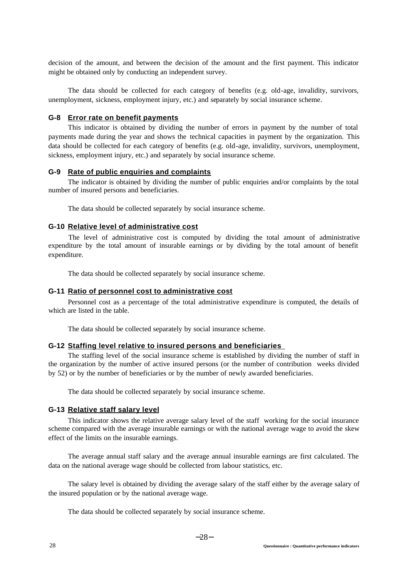decision of the amount, and between the decision of the amount and the first payment. This indicator might be obtained only by conducting an independent survey.

The data should be collected for each category of benefits (e.g. old-age, invalidity, survivors, unemployment, sickness, employment injury, etc.) and separately by social insurance scheme.

### **G-8 Error rate on benefit payments**

This indicator is obtained by dividing the number of errors in payment by the number of total payments made during the year and shows the technical capacities in payment by the organization. This data should be collected for each category of benefits (e.g. old-age, invalidity, survivors, unemployment, sickness, employment injury, etc.) and separately by social insurance scheme.

### **G-9 Rate of public enquiries and complaints**

The indicator is obtained by dividing the number of public enquiries and/or complaints by the total number of insured persons and beneficiaries.

The data should be collected separately by social insurance scheme.

### **G-10 Relative level of administrative cost**

The level of administrative cost is computed by dividing the total amount of administrative expenditure by the total amount of insurable earnings or by dividing by the total amount of benefit expenditure.

The data should be collected separately by social insurance scheme.

### **G-11 Ratio of personnel cost to administrative cost**

Personnel cost as a percentage of the total administrative expenditure is computed, the details of which are listed in the table.

The data should be collected separately by social insurance scheme.

#### **G-12 Staffing level relative to insured persons and beneficiaries**

The staffing level of the social insurance scheme is established by dividing the number of staff in the organization by the number of active insured persons (or the number of contribution weeks divided by 52) or by the number of beneficiaries or by the number of newly awarded beneficiaries.

The data should be collected separately by social insurance scheme.

#### **G-13 Relative staff salary level**

This indicator shows the relative average salary level of the staff working for the social insurance scheme compared with the average insurable earnings or with the national average wage to avoid the skew effect of the limits on the insurable earnings.

The average annual staff salary and the average annual insurable earnings are first calculated. The data on the national average wage should be collected from labour statistics, etc.

The salary level is obtained by dividing the average salary of the staff either by the average salary of the insured population or by the national average wage.

The data should be collected separately by social insurance scheme.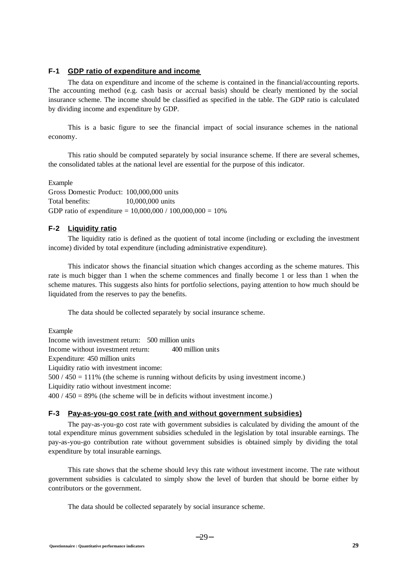# **F-1 GDP ratio of expenditure and income**

The data on expenditure and income of the scheme is contained in the financial/accounting reports. The accounting method (e.g. cash basis or accrual basis) should be clearly mentioned by the social insurance scheme. The income should be classified as specified in the table. The GDP ratio is calculated by dividing income and expenditure by GDP.

This is a basic figure to see the financial impact of social insurance schemes in the national economy.

This ratio should be computed separately by social insurance scheme. If there are several schemes, the consolidated tables at the national level are essential for the purpose of this indicator.

Example

Gross Domestic Product: 100,000,000 units Total benefits: 10,000,000 units GDP ratio of expenditure = 10,000,000 / 100,000,000 = 10%

# **F-2 Liquidity ratio**

The liquidity ratio is defined as the quotient of total income (including or excluding the investment income) divided by total expenditure (including administrative expenditure).

This indicator shows the financial situation which changes according as the scheme matures. This rate is much bigger than 1 when the scheme commences and finally become 1 or less than 1 when the scheme matures. This suggests also hints for portfolio selections, paying attention to how much should be liquidated from the reserves to pay the benefits.

The data should be collected separately by social insurance scheme.

Example Income with investment return: 500 million units Income without investment return: 400 million units Expenditure: 450 million units Liquidity ratio with investment income: 500 / 450 = 111% (the scheme is running without deficits by using investment income.) Liquidity ratio without investment income:  $400 / 450 = 89\%$  (the scheme will be in deficits without investment income.)

### **F-3 Pay-as-you-go cost rate (with and without government subsidies)**

The pay-as-you-go cost rate with government subsidies is calculated by dividing the amount of the total expenditure minus government subsidies scheduled in the legislation by total insurable earnings. The pay-as-you-go contribution rate without government subsidies is obtained simply by dividing the total expenditure by total insurable earnings.

This rate shows that the scheme should levy this rate without investment income. The rate without government subsidies is calculated to simply show the level of burden that should be borne either by contributors or the government.

The data should be collected separately by social insurance scheme.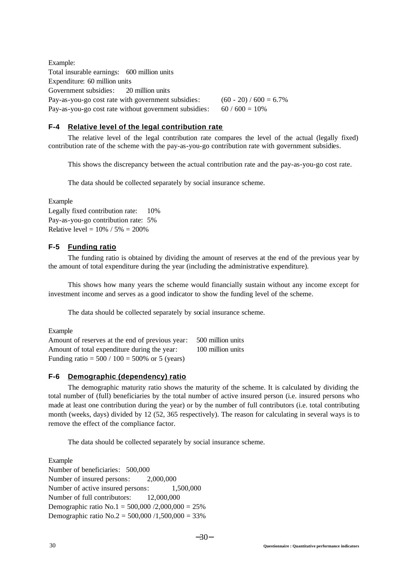Example: Total insurable earnings: 600 million units Expenditure: 60 million units Government subsidies: 20 million units Pay-as-you-go cost rate with government subsidies:  $(60 - 20) / 600 = 6.7\%$ Pay-as-you-go cost rate without government subsidies:  $60 / 600 = 10\%$ 

# **F-4 Relative level of the legal contribution rate**

The relative level of the legal contribution rate compares the level of the actual (legally fixed) contribution rate of the scheme with the pay-as-you-go contribution rate with government subsidies.

This shows the discrepancy between the actual contribution rate and the pay-as-you-go cost rate.

The data should be collected separately by social insurance scheme.

Example

Legally fixed contribution rate: 10% Pay-as-you-go contribution rate: 5% Relative level =  $10\%$  /  $5\%$  = 200%

# **F-5 Funding ratio**

The funding ratio is obtained by dividing the amount of reserves at the end of the previous year by the amount of total expenditure during the year (including the administrative expenditure).

This shows how many years the scheme would financially sustain without any income except for investment income and serves as a good indicator to show the funding level of the scheme.

The data should be collected separately by social insurance scheme.

#### Example

Amount of reserves at the end of previous year: 500 million units Amount of total expenditure during the year: 100 million units Funding ratio =  $500 / 100 = 500%$  or 5 (years)

### **F-6 Demographic (dependency) ratio**

The demographic maturity ratio shows the maturity of the scheme. It is calculated by dividing the total number of (full) beneficiaries by the total number of active insured person (i.e. insured persons who made at least one contribution during the year) or by the number of full contributors (i.e. total contributing month (weeks, days) divided by 12 (52, 365 respectively). The reason for calculating in several ways is to remove the effect of the compliance factor.

The data should be collected separately by social insurance scheme.

Example

Number of beneficiaries: 500,000 Number of insured persons: 2,000,000 Number of active insured persons:  $1,500,000$ Number of full contributors: 12,000,000 Demographic ratio No.1 =  $500,000 / 2,000,000 = 25%$ Demographic ratio  $No.2 = 500,000 / 1,500,000 = 33\%$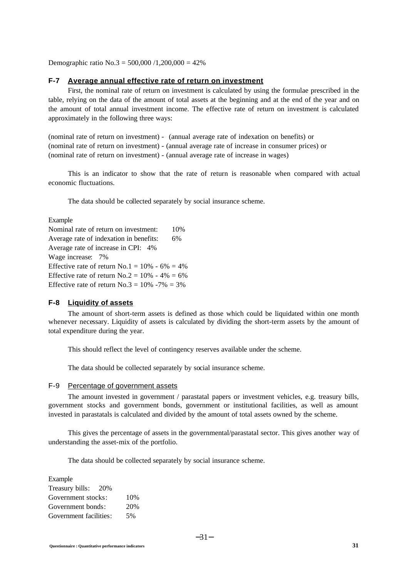Demographic ratio No.3 = 500,000 /1,200,000 = 42%

#### **F-7 Average annual effective rate of return on investment**

First, the nominal rate of return on investment is calculated by using the formulae prescribed in the table, relying on the data of the amount of total assets at the beginning and at the end of the year and on the amount of total annual investment income. The effective rate of return on investment is calculated approximately in the following three ways:

(nominal rate of return on investment) - (annual average rate of indexation on benefits) or (nominal rate of return on investment) - (annual average rate of increase in consumer prices) or (nominal rate of return on investment) - (annual average rate of increase in wages)

This is an indicator to show that the rate of return is reasonable when compared with actual economic fluctuations.

The data should be collected separately by social insurance scheme.

#### Example

Nominal rate of return on investment: 10% Average rate of indexation in benefits: 6% Average rate of increase in CPI: 4% Wage increase: 7% Effective rate of return No.1 =  $10\%$  - 6% = 4% Effective rate of return No.2 =  $10\%$  - 4% = 6% Effective rate of return No.3 =  $10\%$  -7% = 3%

#### **F-8 Liquidity of assets**

The amount of short-term assets is defined as those which could be liquidated within one month whenever necessary. Liquidity of assets is calculated by dividing the short-term assets by the amount of total expenditure during the year.

This should reflect the level of contingency reserves available under the scheme.

The data should be collected separately by social insurance scheme.

### F-9 Percentage of government assets

The amount invested in government / parastatal papers or investment vehicles, e.g. treasury bills, government stocks and government bonds, government or institutional facilities, as well as amount invested in parastatals is calculated and divided by the amount of total assets owned by the scheme.

This gives the percentage of assets in the governmental/parastatal sector. This gives another way of understanding the asset-mix of the portfolio.

The data should be collected separately by social insurance scheme.

| Example                |     |
|------------------------|-----|
| Treasury bills:<br>20% |     |
| Government stocks:     | 10% |
| Government bonds:      | 20% |
| Government facilities: | 5%  |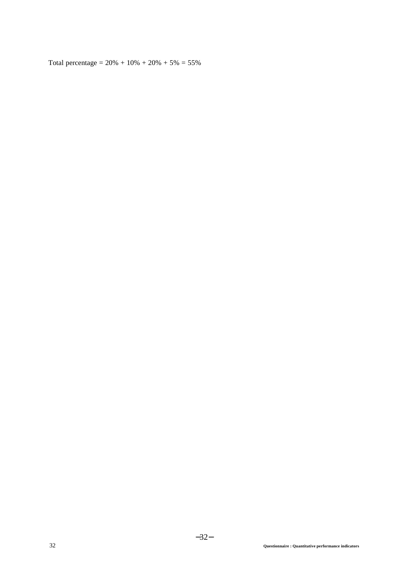Total percentage =  $20\% + 10\% + 20\% + 5\% = 55\%$